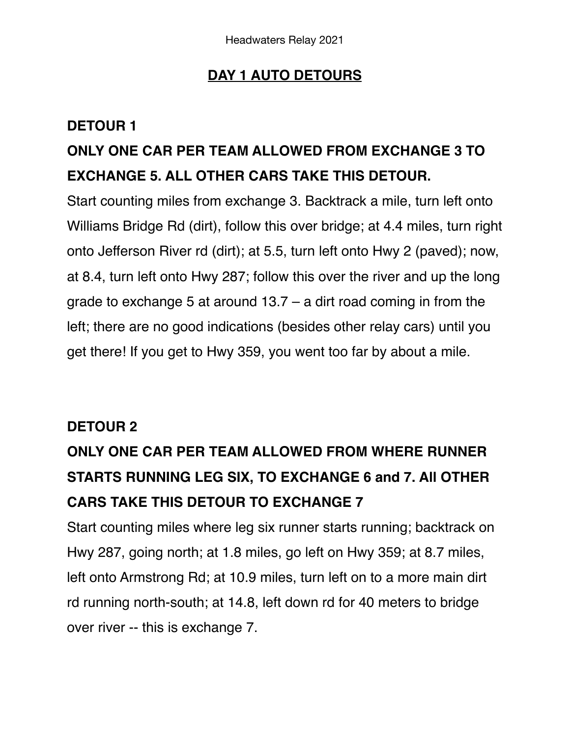### **DAY 1 AUTO DETOURS**

#### **DETOUR 1**

### **ONLY ONE CAR PER TEAM ALLOWED FROM EXCHANGE 3 TO EXCHANGE 5. ALL OTHER CARS TAKE THIS DETOUR.**

Start counting miles from exchange 3. Backtrack a mile, turn left onto Williams Bridge Rd (dirt), follow this over bridge; at 4.4 miles, turn right onto Jefferson River rd (dirt); at 5.5, turn left onto Hwy 2 (paved); now, at 8.4, turn left onto Hwy 287; follow this over the river and up the long grade to exchange 5 at around 13.7 – a dirt road coming in from the left; there are no good indications (besides other relay cars) until you get there! If you get to Hwy 359, you went too far by about a mile.

#### **DETOUR 2**

# **ONLY ONE CAR PER TEAM ALLOWED FROM WHERE RUNNER STARTS RUNNING LEG SIX, TO EXCHANGE 6 and 7. All OTHER CARS TAKE THIS DETOUR TO EXCHANGE 7**

Start counting miles where leg six runner starts running; backtrack on Hwy 287, going north; at 1.8 miles, go left on Hwy 359; at 8.7 miles, left onto Armstrong Rd; at 10.9 miles, turn left on to a more main dirt rd running north-south; at 14.8, left down rd for 40 meters to bridge over river -- this is exchange 7.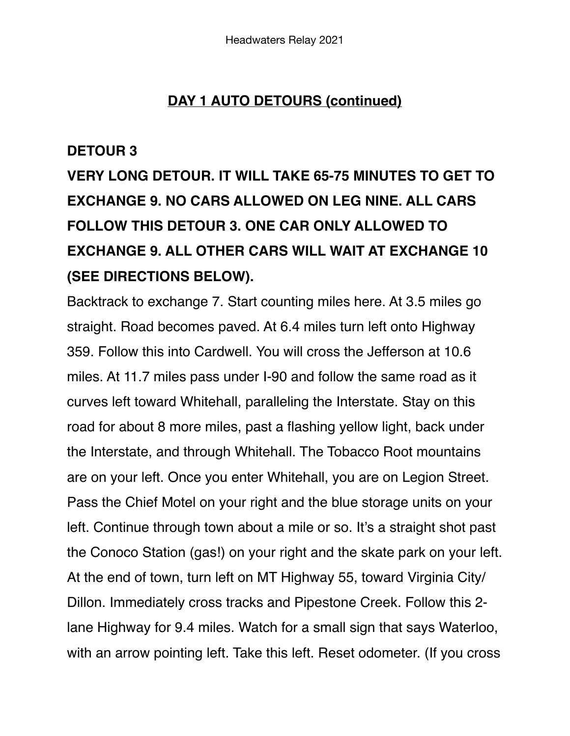#### **DAY 1 AUTO DETOURS (continued)**

#### **DETOUR 3**

**VERY LONG DETOUR. IT WILL TAKE 65-75 MINUTES TO GET TO EXCHANGE 9. NO CARS ALLOWED ON LEG NINE. ALL CARS FOLLOW THIS DETOUR 3. ONE CAR ONLY ALLOWED TO EXCHANGE 9. ALL OTHER CARS WILL WAIT AT EXCHANGE 10 (SEE DIRECTIONS BELOW).** 

Backtrack to exchange 7. Start counting miles here. At 3.5 miles go straight. Road becomes paved. At 6.4 miles turn left onto Highway 359. Follow this into Cardwell. You will cross the Jefferson at 10.6 miles. At 11.7 miles pass under I-90 and follow the same road as it curves left toward Whitehall, paralleling the Interstate. Stay on this road for about 8 more miles, past a flashing yellow light, back under the Interstate, and through Whitehall. The Tobacco Root mountains are on your left. Once you enter Whitehall, you are on Legion Street. Pass the Chief Motel on your right and the blue storage units on your left. Continue through town about a mile or so. It's a straight shot past the Conoco Station (gas!) on your right and the skate park on your left. At the end of town, turn left on MT Highway 55, toward Virginia City/ Dillon. Immediately cross tracks and Pipestone Creek. Follow this 2 lane Highway for 9.4 miles. Watch for a small sign that says Waterloo, with an arrow pointing left. Take this left. Reset odometer. (If you cross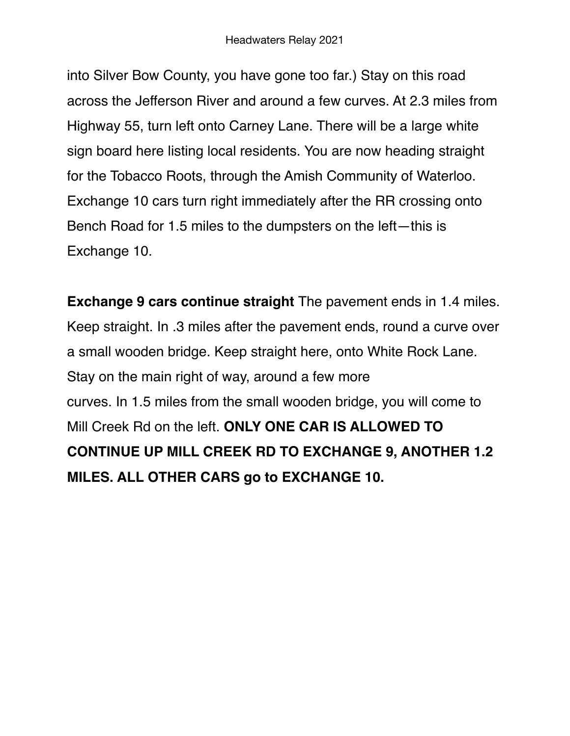into Silver Bow County, you have gone too far.) Stay on this road across the Jefferson River and around a few curves. At 2.3 miles from Highway 55, turn left onto Carney Lane. There will be a large white sign board here listing local residents. You are now heading straight for the Tobacco Roots, through the Amish Community of Waterloo. Exchange 10 cars turn right immediately after the RR crossing onto Bench Road for 1.5 miles to the dumpsters on the left—this is Exchange 10.

**Exchange 9 cars continue straight** The pavement ends in 1.4 miles. Keep straight. In .3 miles after the pavement ends, round a curve over a small wooden bridge. Keep straight here, onto White Rock Lane. Stay on the main right of way, around a few more curves. In 1.5 miles from the small wooden bridge, you will come to Mill Creek Rd on the left. **ONLY ONE CAR IS ALLOWED TO CONTINUE UP MILL CREEK RD TO EXCHANGE 9, ANOTHER 1.2 MILES. ALL OTHER CARS go to EXCHANGE 10.**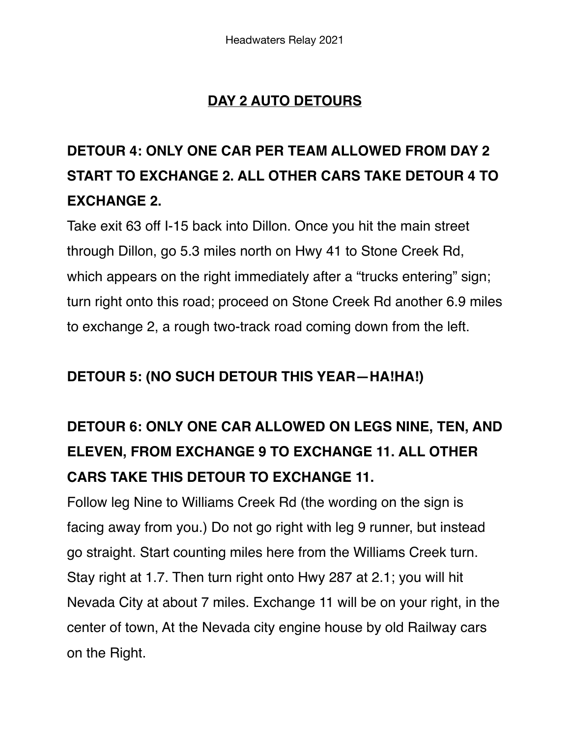### **DAY 2 AUTO DETOURS**

# **DETOUR 4: ONLY ONE CAR PER TEAM ALLOWED FROM DAY 2 START TO EXCHANGE 2. ALL OTHER CARS TAKE DETOUR 4 TO EXCHANGE 2.**

Take exit 63 off I-15 back into Dillon. Once you hit the main street through Dillon, go 5.3 miles north on Hwy 41 to Stone Creek Rd, which appears on the right immediately after a "trucks entering" sign; turn right onto this road; proceed on Stone Creek Rd another 6.9 miles to exchange 2, a rough two-track road coming down from the left.

#### **DETOUR 5: (NO SUCH DETOUR THIS YEAR—HA!HA!)**

# **DETOUR 6: ONLY ONE CAR ALLOWED ON LEGS NINE, TEN, AND ELEVEN, FROM EXCHANGE 9 TO EXCHANGE 11. ALL OTHER CARS TAKE THIS DETOUR TO EXCHANGE 11.**

Follow leg Nine to Williams Creek Rd (the wording on the sign is facing away from you.) Do not go right with leg 9 runner, but instead go straight. Start counting miles here from the Williams Creek turn. Stay right at 1.7. Then turn right onto Hwy 287 at 2.1; you will hit Nevada City at about 7 miles. Exchange 11 will be on your right, in the center of town, At the Nevada city engine house by old Railway cars on the Right.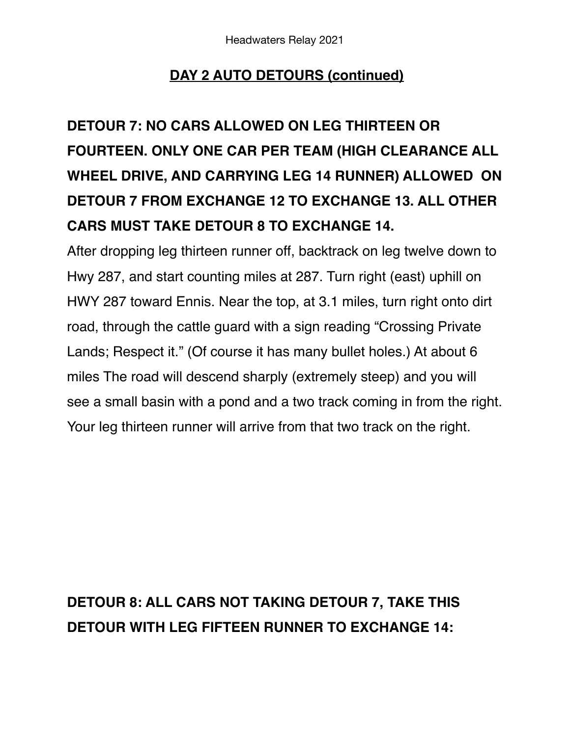### **DAY 2 AUTO DETOURS (continued)**

# **DETOUR 7: NO CARS ALLOWED ON LEG THIRTEEN OR FOURTEEN. ONLY ONE CAR PER TEAM (HIGH CLEARANCE ALL WHEEL DRIVE, AND CARRYING LEG 14 RUNNER) ALLOWED ON DETOUR 7 FROM EXCHANGE 12 TO EXCHANGE 13. ALL OTHER CARS MUST TAKE DETOUR 8 TO EXCHANGE 14.**

After dropping leg thirteen runner off, backtrack on leg twelve down to Hwy 287, and start counting miles at 287. Turn right (east) uphill on HWY 287 toward Ennis. Near the top, at 3.1 miles, turn right onto dirt road, through the cattle guard with a sign reading "Crossing Private Lands; Respect it." (Of course it has many bullet holes.) At about 6 miles The road will descend sharply (extremely steep) and you will see a small basin with a pond and a two track coming in from the right. Your leg thirteen runner will arrive from that two track on the right.

### **DETOUR 8: ALL CARS NOT TAKING DETOUR 7, TAKE THIS DETOUR WITH LEG FIFTEEN RUNNER TO EXCHANGE 14:**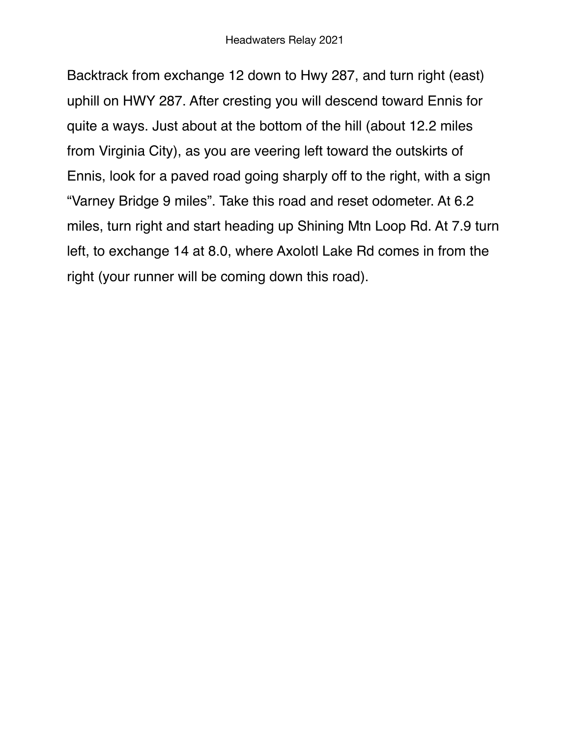Backtrack from exchange 12 down to Hwy 287, and turn right (east) uphill on HWY 287. After cresting you will descend toward Ennis for quite a ways. Just about at the bottom of the hill (about 12.2 miles from Virginia City), as you are veering left toward the outskirts of Ennis, look for a paved road going sharply off to the right, with a sign "Varney Bridge 9 miles". Take this road and reset odometer. At 6.2 miles, turn right and start heading up Shining Mtn Loop Rd. At 7.9 turn left, to exchange 14 at 8.0, where Axolotl Lake Rd comes in from the right (your runner will be coming down this road).